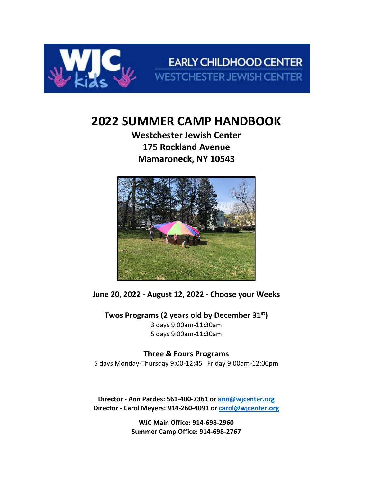

**EARLY CHILDHOOD CENTER WESTCHESTER JEWISH CENTER** 

# **2022 SUMMER CAMP HANDBOOK**

**Westchester Jewish Center 175 Rockland Avenue Mamaroneck, NY 10543**



**June 20, 2022 - August 12, 2022 - Choose your Weeks**

**Twos Programs (2 years old by December 31st)** 3 days 9:00am-11:30am 5 days 9:00am-11:30am

# **Three & Fours Programs**

5 days Monday-Thursday 9:00-12:45 Friday 9:00am-12:00pm

**Director - Ann Pardes: 561-400-7361 or [ann@wjcenter.org](mailto:ann@wjcenter.org) Director - Carol Meyers: 914-260-4091 or carol@wjcenter.org**

> **WJC Main Office: 914-698-2960 Summer Camp Office: 914-698-2767**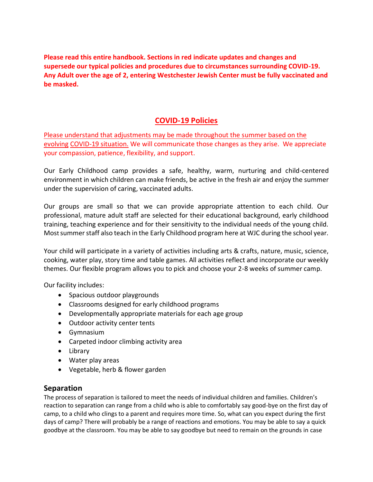**Please read this entire handbook. Sections in red indicate updates and changes and supersede our typical policies and procedures due to circumstances surrounding COVID-19. Any Adult over the age of 2, entering Westchester Jewish Center must be fully vaccinated and be masked.**

# **COVID-19 Policies**

Please understand that adjustments may be made throughout the summer based on the evolving COVID-19 situation. We will communicate those changes as they arise. We appreciate your compassion, patience, flexibility, and support.

Our Early Childhood camp provides a safe, healthy, warm, nurturing and child-centered environment in which children can make friends, be active in the fresh air and enjoy the summer under the supervision of caring, vaccinated adults.

Our groups are small so that we can provide appropriate attention to each child. Our professional, mature adult staff are selected for their educational background, early childhood training, teaching experience and for their sensitivity to the individual needs of the young child. Most summer staff also teach in the Early Childhood program here at WJC during the school year.

Your child will participate in a variety of activities including arts & crafts, nature, music, science, cooking, water play, story time and table games. All activities reflect and incorporate our weekly themes. Our flexible program allows you to pick and choose your 2-8 weeks of summer camp.

Our facility includes:

- Spacious outdoor playgrounds
- Classrooms designed for early childhood programs
- Developmentally appropriate materials for each age group
- Outdoor activity center tents
- Gymnasium
- Carpeted indoor climbing activity area
- Library
- Water play areas
- Vegetable, herb & flower garden

# **Separation**

The process of separation is tailored to meet the needs of individual children and families. Children's reaction to separation can range from a child who is able to comfortably say good-bye on the first day of camp, to a child who clings to a parent and requires more time. So, what can you expect during the first days of camp? There will probably be a range of reactions and emotions. You may be able to say a quick goodbye at the classroom. You may be able to say goodbye but need to remain on the grounds in case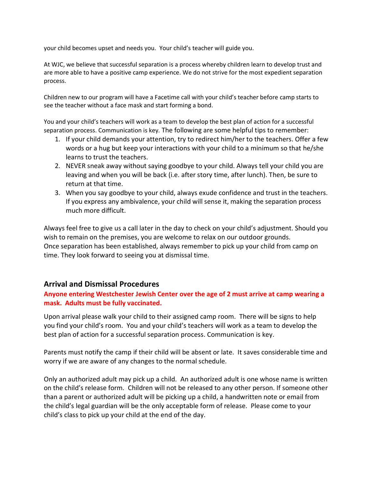your child becomes upset and needs you. Your child's teacher will guide you.

At WJC, we believe that successful separation is a process whereby children learn to develop trust and are more able to have a positive camp experience. We do not strive for the most expedient separation process.

Children new to our program will have a Facetime call with your child's teacher before camp starts to see the teacher without a face mask and start forming a bond.

You and your child's teachers will work as a team to develop the best plan of action for a successful separation process. Communication is key. The following are some helpful tips to remember:

- 1. If your child demands your attention, try to redirect him/her to the teachers. Offer a few words or a hug but keep your interactions with your child to a minimum so that he/she learns to trust the teachers.
- 2. NEVER sneak away without saying goodbye to your child. Always tell your child you are leaving and when you will be back (i.e. after story time, after lunch). Then, be sure to return at that time.
- 3. When you say goodbye to your child, always exude confidence and trust in the teachers. If you express any ambivalence, your child will sense it, making the separation process much more difficult.

Always feel free to give us a call later in the day to check on your child's adjustment. Should you wish to remain on the premises, you are welcome to relax on our outdoor grounds. Once separation has been established, always remember to pick up your child from camp on time. They look forward to seeing you at dismissal time.

# **Arrival and Dismissal Procedures**

## **Anyone entering Westchester Jewish Center over the age of 2 must arrive at camp wearing a mask. Adults must be fully vaccinated.**

Upon arrival please walk your child to their assigned camp room. There will be signs to help you find your child's room. You and your child's teachers will work as a team to develop the best plan of action for a successful separation process. Communication is key.

Parents must notify the camp if their child will be absent or late. It saves considerable time and worry if we are aware of any changes to the normal schedule.

Only an authorized adult may pick up a child. An authorized adult is one whose name is written on the child's release form. Children will not be released to any other person. If someone other than a parent or authorized adult will be picking up a child, a handwritten note or email from the child's legal guardian will be the only acceptable form of release. Please come to your child's class to pick up your child at the end of the day.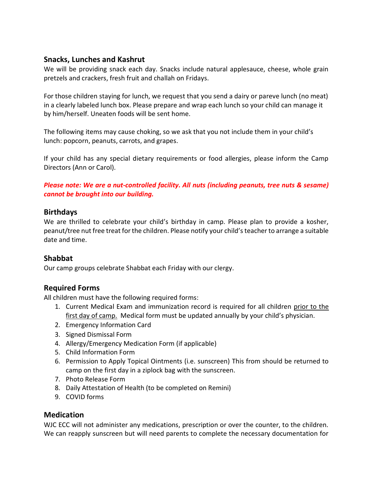# **Snacks, Lunches and Kashrut**

We will be providing snack each day. Snacks include natural applesauce, cheese, whole grain pretzels and crackers, fresh fruit and challah on Fridays.

For those children staying for lunch, we request that you send a dairy or pareve lunch (no meat) in a clearly labeled lunch box. Please prepare and wrap each lunch so your child can manage it by him/herself. Uneaten foods will be sent home.

The following items may cause choking, so we ask that you not include them in your child's lunch: popcorn, peanuts, carrots, and grapes.

If your child has any special dietary requirements or food allergies, please inform the Camp Directors (Ann or Carol).

*Please note: We are a nut-controlled facility. All nuts (including peanuts, tree nuts & sesame) cannot be brought into our building.* 

# **Birthdays**

We are thrilled to celebrate your child's birthday in camp. Please plan to provide a kosher, peanut/tree nut free treat for the children. Please notify your child's teacher to arrange a suitable date and time.

# **Shabbat**

Our camp groups celebrate Shabbat each Friday with our clergy.

# **Required Forms**

All children must have the following required forms:

- 1. Current Medical Exam and immunization record is required for all children prior to the first day of camp. Medical form must be updated annually by your child's physician.
- 2. Emergency Information Card
- 3. Signed Dismissal Form
- 4. Allergy/Emergency Medication Form (if applicable)
- 5. Child Information Form
- 6. Permission to Apply Topical Ointments (i.e. sunscreen) This from should be returned to camp on the first day in a ziplock bag with the sunscreen.
- 7. Photo Release Form
- 8. Daily Attestation of Health (to be completed on Remini)
- 9. COVID forms

# **Medication**

WJC ECC will not administer any medications, prescription or over the counter, to the children. We can reapply sunscreen but will need parents to complete the necessary documentation for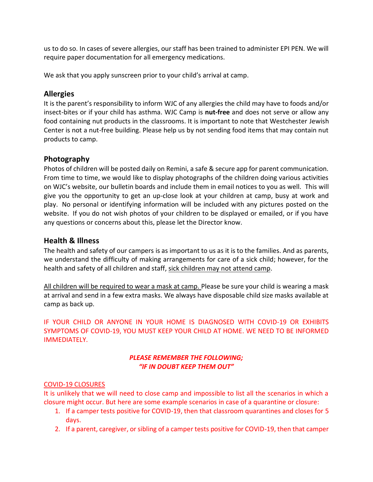us to do so. In cases of severe allergies, our staff has been trained to administer EPI PEN. We will require paper documentation for all emergency medications.

We ask that you apply sunscreen prior to your child's arrival at camp.

## **Allergies**

It is the parent's responsibility to inform WJC of any allergies the child may have to foods and/or insect-bites or if your child has asthma. WJC Camp is **nut-free** and does not serve or allow any food containing nut products in the classrooms. It is important to note that Westchester Jewish Center is not a nut-free building. Please help us by not sending food items that may contain nut products to camp.

## **Photography**

Photos of children will be posted daily on Remini, a safe & secure app for parent communication. From time to time, we would like to display photographs of the children doing various activities on WJC's website, our bulletin boards and include them in email notices to you as well. This will give you the opportunity to get an up-close look at your children at camp, busy at work and play. No personal or identifying information will be included with any pictures posted on the website. If you do not wish photos of your children to be displayed or emailed, or if you have any questions or concerns about this, please let the Director know.

## **Health & Illness**

The health and safety of our campers is as important to us as it is to the families. And as parents, we understand the difficulty of making arrangements for care of a sick child; however, for the health and safety of all children and staff, sick children may not attend camp.

All children will be required to wear a mask at camp. Please be sure your child is wearing a mask at arrival and send in a few extra masks. We always have disposable child size masks available at camp as back up.

IF YOUR CHILD OR ANYONE IN YOUR HOME IS DIAGNOSED WITH COVID-19 OR EXHIBITS SYMPTOMS OF COVID-19, YOU MUST KEEP YOUR CHILD AT HOME. WE NEED TO BE INFORMED IMMEDIATELY.

## *PLEASE REMEMBER THE FOLLOWING; "IF IN DOUBT KEEP THEM OUT"*

#### COVID-19 CLOSURES

It is unlikely that we will need to close camp and impossible to list all the scenarios in which a closure might occur. But here are some example scenarios in case of a quarantine or closure:

- 1. If a camper tests positive for COVID-19, then that classroom quarantines and closes for 5 days.
- 2. If a parent, caregiver, or sibling of a camper tests positive for COVID-19, then that camper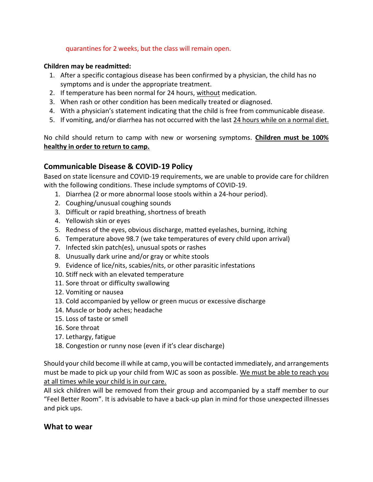#### quarantines for 2 weeks, but the class will remain open.

#### **Children may be readmitted:**

- 1. After a specific contagious disease has been confirmed by a physician, the child has no symptoms and is under the appropriate treatment.
- 2. If temperature has been normal for 24 hours, without medication.
- 3. When rash or other condition has been medically treated or diagnosed.
- 4. With a physician's statement indicating that the child is free from communicable disease.
- 5. If vomiting, and/or diarrhea has not occurred with the last 24 hours while on a normal diet.

No child should return to camp with new or worsening symptoms. **Children must be 100% healthy in order to return to camp.**

## **Communicable Disease & COVID-19 Policy**

Based on state licensure and COVID-19 requirements, we are unable to provide care for children with the following conditions. These include symptoms of COVID-19.

- 1. Diarrhea (2 or more abnormal loose stools within a 24-hour period).
- 2. Coughing/unusual coughing sounds
- 3. Difficult or rapid breathing, shortness of breath
- 4. Yellowish skin or eyes
- 5. Redness of the eyes, obvious discharge, matted eyelashes, burning, itching
- 6. Temperature above 98.7 (we take temperatures of every child upon arrival)
- 7. Infected skin patch(es), unusual spots or rashes
- 8. Unusually dark urine and/or gray or white stools
- 9. Evidence of lice/nits, scabies/nits, or other parasitic infestations
- 10. Stiff neck with an elevated temperature
- 11. Sore throat or difficulty swallowing
- 12. Vomiting or nausea
- 13. Cold accompanied by yellow or green mucus or excessive discharge
- 14. Muscle or body aches; headache
- 15. Loss of taste or smell
- 16. Sore throat
- 17. Lethargy, fatigue
- 18. Congestion or runny nose (even if it's clear discharge)

Should your child become ill while at camp, you will be contacted immediately, and arrangements must be made to pick up your child from WJC as soon as possible. We must be able to reach you at all times while your child is in our care.

All sick children will be removed from their group and accompanied by a staff member to our "Feel Better Room". It is advisable to have a back-up plan in mind for those unexpected illnesses and pick ups.

## **What to wear**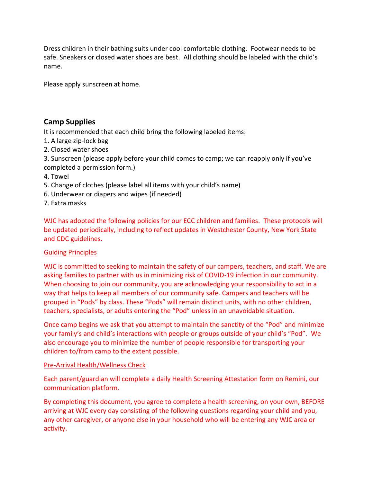Dress children in their bathing suits under cool comfortable clothing. Footwear needs to be safe. Sneakers or closed water shoes are best. All clothing should be labeled with the child's name.

Please apply sunscreen at home.

# **Camp Supplies**

It is recommended that each child bring the following labeled items:

- 1. A large zip-lock bag
- 2. Closed water shoes
- 3. Sunscreen (please apply before your child comes to camp; we can reapply only if you've completed a permission form.)
- 4. Towel
- 5. Change of clothes (please label all items with your child's name)
- 6. Underwear or diapers and wipes (if needed)
- 7. Extra masks

WJC has adopted the following policies for our ECC children and families. These protocols will be updated periodically, including to reflect updates in Westchester County, New York State and CDC guidelines.

#### Guiding Principles

WJC is committed to seeking to maintain the safety of our campers, teachers, and staff. We are asking families to partner with us in minimizing risk of COVID-19 infection in our community. When choosing to join our community, you are acknowledging your responsibility to act in a way that helps to keep all members of our community safe. Campers and teachers will be grouped in "Pods" by class. These "Pods" will remain distinct units, with no other children, teachers, specialists, or adults entering the "Pod" unless in an unavoidable situation.

Once camp begins we ask that you attempt to maintain the sanctity of the "Pod" and minimize your family's and child's interactions with people or groups outside of your child's "Pod". We also encourage you to minimize the number of people responsible for transporting your children to/from camp to the extent possible.

#### Pre-Arrival Health/Wellness Check

Each parent/guardian will complete a daily Health Screening Attestation form on Remini, our communication platform.

By completing this document, you agree to complete a health screening, on your own, BEFORE arriving at WJC every day consisting of the following questions regarding your child and you, any other caregiver, or anyone else in your household who will be entering any WJC area or activity.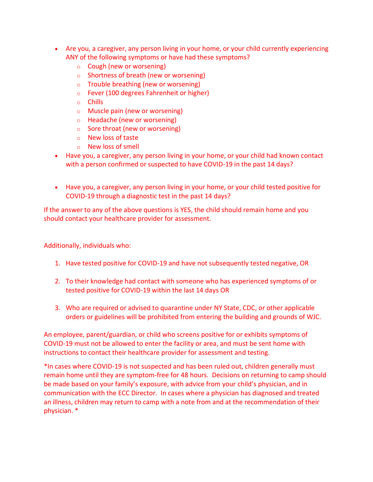- Are you, a caregiver, any person living in your home, or your child currently experiencing ANY of the following symptoms or have had these symptoms?
	- o Cough (new or worsening)
	- o Shortness of breath (new or worsening)
	- o Trouble breathing (new or worsening)
	- o Fever (100 degrees Fahrenheit or higher)
	- o Chills
	- o Muscle pain (new or worsening)
	- o Headache (new or worsening)
	- o Sore throat (new or worsening)
	- o New loss of taste
	- o New loss of smell
- Have you, a caregiver, any person living in your home, or your child had known contact with a person confirmed or suspected to have COVID-19 in the past 14 days?
- Have you, a caregiver, any person living in your home, or your child tested positive for COVID-19 through a diagnostic test in the past 14 days?

If the answer to any of the above questions is YES, the child should remain home and you should contact your healthcare provider for assessment.

Additionally, individuals who:

- 1. Have tested positive for COVID-19 and have not subsequently tested negative, OR
- 2. To their knowledge had contact with someone who has experienced symptoms of or tested positive for COVID-19 within the last 14 days OR
- 3. Who are required or advised to quarantine under NY State, CDC, or other applicable orders or guidelines will be prohibited from entering the building and grounds of WJC.

An employee, parent/guardian, or child who screens positive for or exhibits symptoms of COVID-19 must not be allowed to enter the facility or area, and must be sent home with instructions to contact their healthcare provider for assessment and testing.

\*In cases where COVID-19 is not suspected and has been ruled out, children generally must remain home until they are symptom-free for 48 hours. Decisions on returning to camp should be made based on your family's exposure, with advice from your child's physician, and in communication with the ECC Director. In cases where a physician has diagnosed and treated an illness, children may return to camp with a note from and at the recommendation of their physician. \*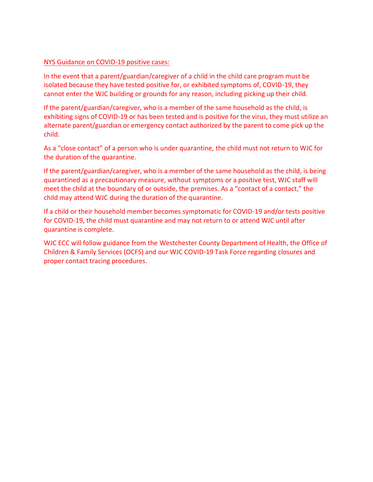#### NYS Guidance on COVID-19 positive cases:

In the event that a parent/guardian/caregiver of a child in the child care program must be isolated because they have tested positive for, or exhibited symptoms of, COVID-19, they cannot enter the WJC building or grounds for any reason, including picking up their child.

If the parent/guardian/caregiver, who is a member of the same household as the child, is exhibiting signs of COVID-19 or has been tested and is positive for the virus, they must utilize an alternate parent/guardian or emergency contact authorized by the parent to come pick up the child.

As a "close contact" of a person who is under quarantine, the child must not return to WJC for the duration of the quarantine.

If the parent/guardian/caregiver, who is a member of the same household as the child, is being quarantined as a precautionary measure, without symptoms or a positive test, WJC staff will meet the child at the boundary of or outside, the premises. As a "contact of a contact," the child may attend WJC during the duration of the quarantine.

If a child or their household member becomes symptomatic for COVID-19 and/or tests positive for COVID-19, the child must quarantine and may not return to or attend WJC until after quarantine is complete.

WJC ECC will follow guidance from the Westchester County Department of Health, the Office of Children & Family Services (OCFS) and our WJC COVID-19 Task Force regarding closures and proper contact tracing procedures.